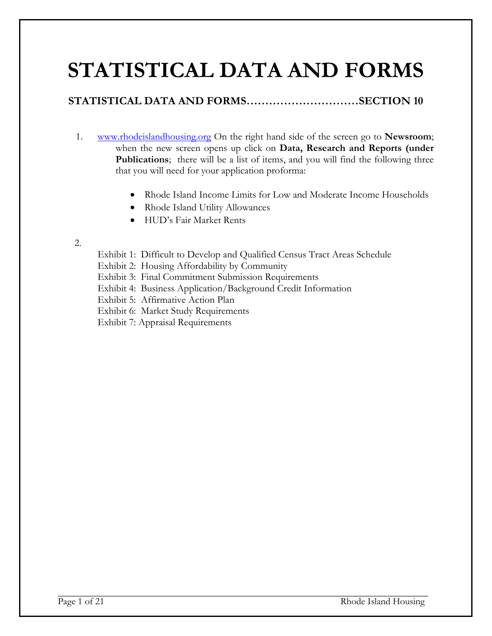# **STATISTICAL DATA AND FORMS**

# **STATISTICAL DATA AND FORMS…………………………SECTION 10**

- 1. [www.rhodeislandhousing.org](http://www.rhodeislandhousing.org/) On the right hand side of the screen go to **Newsroom**; when the new screen opens up click on **Data, Research and Reports (under Publications**; there will be a list of items, and you will find the following three that you will need for your application proforma:
	- Rhode Island Income Limits for Low and Moderate Income Households
	- Rhode Island Utility Allowances
	- HUD's Fair Market Rents
- 2.
- Exhibit 1: Difficult to Develop and Qualified Census Tract Areas Schedule
- Exhibit 2: Housing Affordability by Community
- Exhibit 3: Final Commitment Submission Requirements
- Exhibit 4: Business Application/Background Credit Information
- Exhibit 5: Affirmative Action Plan
- Exhibit 6: Market Study Requirements
- Exhibit 7: Appraisal Requirements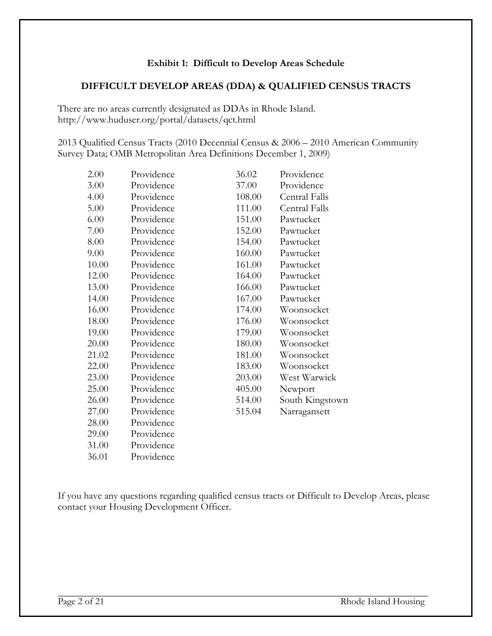#### **Exhibit 1: Difficult to Develop Areas Schedule**

## **DIFFICULT DEVELOP AREAS (DDA) & QUALIFIED CENSUS TRACTS**

There are no areas currently designated as DDAs in Rhode Island. http://www.huduser.org/portal/datasets/qct.html

2013 Qualified Census Tracts (2010 Decennial Census & 2006 – 2010 American Community Survey Data; OMB Metropolitan Area Definitions December 1, 2009)

| 2.00  | Providence | 36.02  | Providence      |
|-------|------------|--------|-----------------|
| 3.00  | Providence | 37.00  | Providence      |
| 4.00  | Providence | 108.00 | Central Falls   |
| 5.00  | Providence | 111.00 | Central Falls   |
| 6.00  | Providence | 151.00 | Pawtucket       |
| 7.00  | Providence | 152.00 | Pawtucket       |
| 8.00  | Providence | 154.00 | Pawtucket       |
| 9.00  | Providence | 160.00 | Pawtucket       |
| 10.00 | Providence | 161.00 | Pawtucket       |
| 12.00 | Providence | 164.00 | Pawtucket       |
| 13.00 | Providence | 166.00 | Pawtucket       |
| 14.00 | Providence | 167.00 | Pawtucket       |
| 16.00 | Providence | 174.00 | Woonsocket      |
| 18.00 | Providence | 176.00 | Woonsocket      |
| 19.00 | Providence | 179.00 | Woonsocket      |
| 20.00 | Providence | 180.00 | Woonsocket      |
| 21.02 | Providence | 181.00 | Woonsocket      |
| 22.00 | Providence | 183.00 | Woonsocket      |
| 23.00 | Providence | 203.00 | West Warwick    |
| 25.00 | Providence | 405.00 | Newport         |
| 26.00 | Providence | 514.00 | South Kingstown |
| 27.00 | Providence | 515.04 | Narragansett    |
| 28.00 | Providence |        |                 |
| 29.00 | Providence |        |                 |
| 31.00 | Providence |        |                 |

If you have any questions regarding qualified census tracts or Difficult to Develop Areas, please contact your Housing Development Officer.

36.01 Providence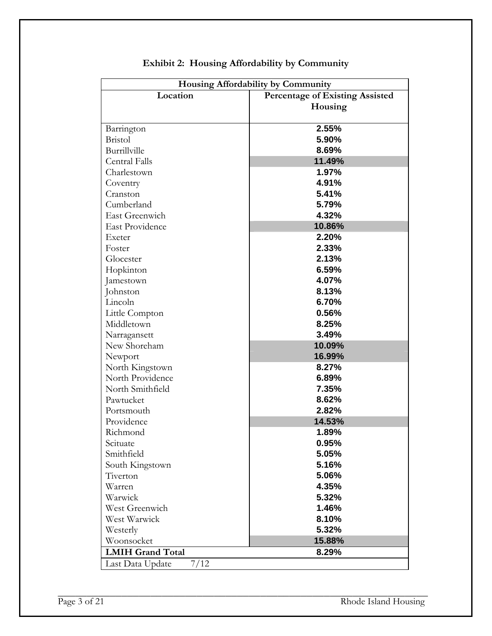| Housing Affordability by Community |                                        |  |  |
|------------------------------------|----------------------------------------|--|--|
| Location                           | <b>Percentage of Existing Assisted</b> |  |  |
|                                    | Housing                                |  |  |
|                                    |                                        |  |  |
| Barrington                         | 2.55%                                  |  |  |
| <b>Bristol</b>                     | 5.90%                                  |  |  |
| Burrillville                       | 8.69%                                  |  |  |
| Central Falls                      | 11.49%                                 |  |  |
| Charlestown                        | 1.97%                                  |  |  |
| Coventry                           | 4.91%                                  |  |  |
| Cranston                           | 5.41%                                  |  |  |
| Cumberland                         | 5.79%                                  |  |  |
| <b>East Greenwich</b>              | 4.32%                                  |  |  |
| <b>East Providence</b>             | 10.86%                                 |  |  |
| Exeter                             | 2.20%                                  |  |  |
| Foster                             | 2.33%                                  |  |  |
| Glocester                          | 2.13%                                  |  |  |
| Hopkinton                          | 6.59%                                  |  |  |
| Jamestown                          | 4.07%                                  |  |  |
| Johnston                           | 8.13%                                  |  |  |
| Lincoln                            | 6.70%                                  |  |  |
| Little Compton                     | 0.56%                                  |  |  |
| Middletown                         | 8.25%                                  |  |  |
| Narragansett                       | 3.49%                                  |  |  |
| New Shoreham                       | 10.09%                                 |  |  |
| Newport                            | 16.99%                                 |  |  |
| North Kingstown                    | 8.27%                                  |  |  |
| North Providence                   | 6.89%                                  |  |  |
| North Smithfield                   | 7.35%                                  |  |  |
| Pawtucket                          | 8.62%                                  |  |  |
| Portsmouth                         | 2.82%                                  |  |  |
| Providence                         | 14.53%                                 |  |  |
| Richmond                           | 1.89%                                  |  |  |
| Scituate                           | 0.95%                                  |  |  |
| Smithfield                         | 5.05%                                  |  |  |
| South Kingstown                    | 5.16%                                  |  |  |
| Tiverton                           | 5.06%                                  |  |  |
| Warren                             | 4.35%                                  |  |  |
| Warwick                            | 5.32%                                  |  |  |
| West Greenwich                     | 1.46%                                  |  |  |
| West Warwick                       | 8.10%                                  |  |  |
| Westerly                           | 5.32%                                  |  |  |
| Woonsocket                         | 15.88%                                 |  |  |
| <b>LMIH Grand Total</b>            | 8.29%                                  |  |  |
| Last Data Update<br>7/12           |                                        |  |  |

**Exhibit 2: Housing Affordability by Community**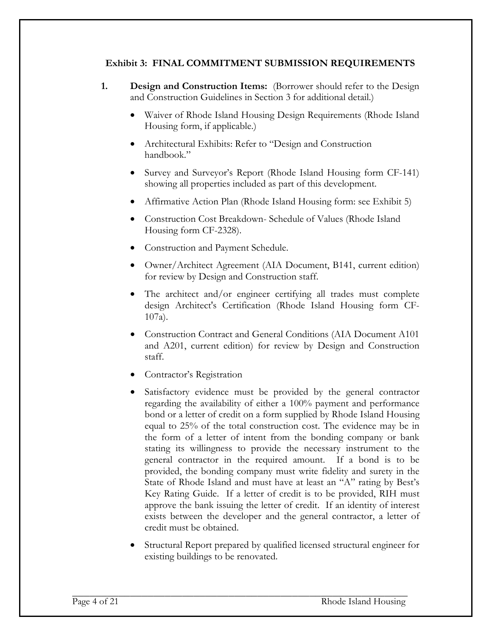## **Exhibit 3: FINAL COMMITMENT SUBMISSION REQUIREMENTS**

- **1. Design and Construction Items:** (Borrower should refer to the Design and Construction Guidelines in Section 3 for additional detail.)
	- Waiver of Rhode Island Housing Design Requirements (Rhode Island Housing form, if applicable.)
	- Architectural Exhibits: Refer to "Design and Construction handbook."
	- Survey and Surveyor's Report (Rhode Island Housing form CF-141) showing all properties included as part of this development.
	- Affirmative Action Plan (Rhode Island Housing form: see Exhibit 5)
	- Construction Cost Breakdown- Schedule of Values (Rhode Island Housing form CF-2328).
	- Construction and Payment Schedule.
	- Owner/Architect Agreement (AIA Document, B141, current edition) for review by Design and Construction staff.
	- The architect and/or engineer certifying all trades must complete design Architect's Certification (Rhode Island Housing form CF-107a).
	- Construction Contract and General Conditions (AIA Document A101 and A201, current edition) for review by Design and Construction staff.
	- Contractor's Registration
	- Satisfactory evidence must be provided by the general contractor regarding the availability of either a 100% payment and performance bond or a letter of credit on a form supplied by Rhode Island Housing equal to 25% of the total construction cost. The evidence may be in the form of a letter of intent from the bonding company or bank stating its willingness to provide the necessary instrument to the general contractor in the required amount. If a bond is to be provided, the bonding company must write fidelity and surety in the State of Rhode Island and must have at least an "A" rating by Best's Key Rating Guide. If a letter of credit is to be provided, RIH must approve the bank issuing the letter of credit. If an identity of interest exists between the developer and the general contractor, a letter of credit must be obtained.
	- Structural Report prepared by qualified licensed structural engineer for existing buildings to be renovated.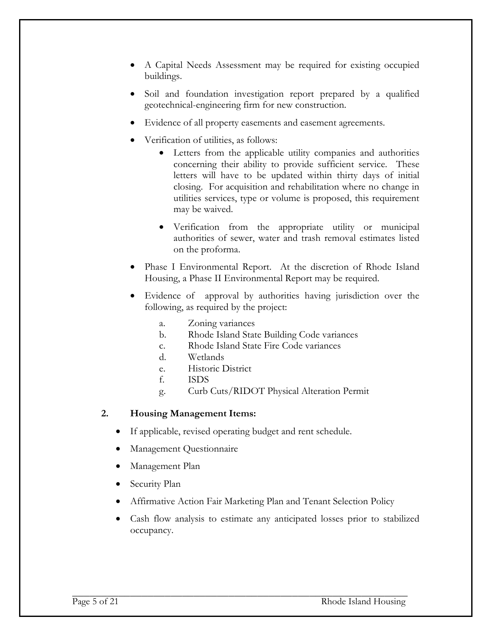- A Capital Needs Assessment may be required for existing occupied buildings.
- Soil and foundation investigation report prepared by a qualified geotechnical-engineering firm for new construction.
- Evidence of all property easements and easement agreements.
- Verification of utilities, as follows:
	- Letters from the applicable utility companies and authorities concerning their ability to provide sufficient service. These letters will have to be updated within thirty days of initial closing. For acquisition and rehabilitation where no change in utilities services, type or volume is proposed, this requirement may be waived.
	- Verification from the appropriate utility or municipal authorities of sewer, water and trash removal estimates listed on the proforma.
- Phase I Environmental Report. At the discretion of Rhode Island Housing, a Phase II Environmental Report may be required.
- Evidence of approval by authorities having jurisdiction over the following, as required by the project:
	- a. Zoning variances
	- b. Rhode Island State Building Code variances
	- c. Rhode Island State Fire Code variances
	- d. Wetlands
	- e. Historic District
	- f. ISDS
	- g. Curb Cuts/RIDOT Physical Alteration Permit

#### **2. Housing Management Items:**

- If applicable, revised operating budget and rent schedule.
- Management Questionnaire
- Management Plan
- Security Plan
- Affirmative Action Fair Marketing Plan and Tenant Selection Policy
- Cash flow analysis to estimate any anticipated losses prior to stabilized occupancy.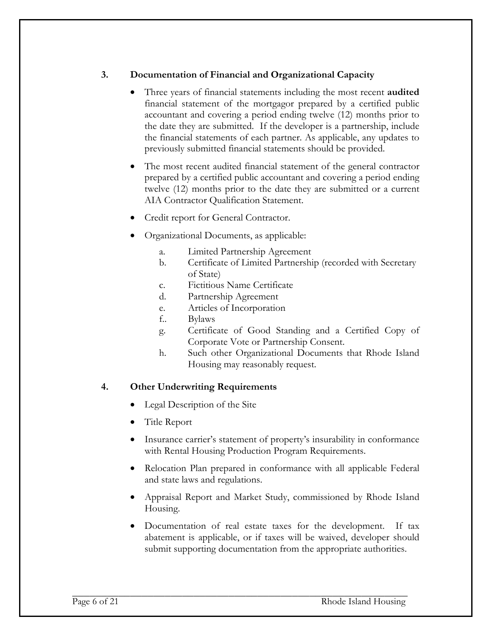# **3. Documentation of Financial and Organizational Capacity**

- Three years of financial statements including the most recent **audited** financial statement of the mortgagor prepared by a certified public accountant and covering a period ending twelve (12) months prior to the date they are submitted. If the developer is a partnership, include the financial statements of each partner. As applicable, any updates to previously submitted financial statements should be provided.
- The most recent audited financial statement of the general contractor prepared by a certified public accountant and covering a period ending twelve (12) months prior to the date they are submitted or a current AIA Contractor Qualification Statement.
- Credit report for General Contractor.
- Organizational Documents, as applicable:
	- a. Limited Partnership Agreement
	- b. Certificate of Limited Partnership (recorded with Secretary of State)
	- c. Fictitious Name Certificate
	- d. Partnership Agreement
	- e. Articles of Incorporation
	- f.. Bylaws
	- g. Certificate of Good Standing and a Certified Copy of Corporate Vote or Partnership Consent.
	- h. Such other Organizational Documents that Rhode Island Housing may reasonably request.

# **4. Other Underwriting Requirements**

- Legal Description of the Site
- Title Report
- Insurance carrier's statement of property's insurability in conformance with Rental Housing Production Program Requirements.
- Relocation Plan prepared in conformance with all applicable Federal and state laws and regulations.
- Appraisal Report and Market Study, commissioned by Rhode Island Housing.
- Documentation of real estate taxes for the development. If tax abatement is applicable, or if taxes will be waived, developer should submit supporting documentation from the appropriate authorities.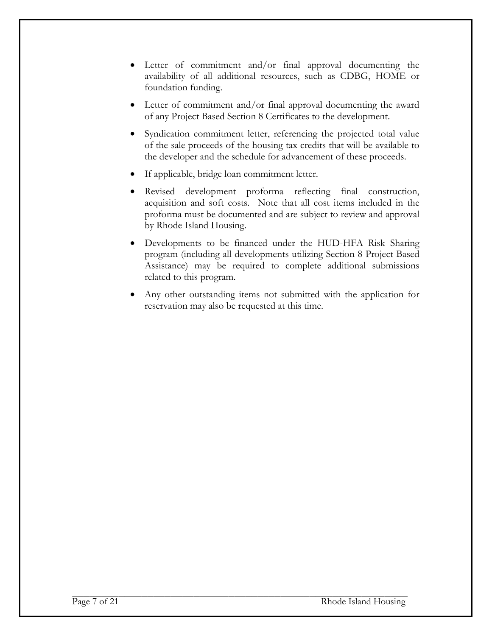- Letter of commitment and/or final approval documenting the availability of all additional resources, such as CDBG, HOME or foundation funding.
- Letter of commitment and/or final approval documenting the award of any Project Based Section 8 Certificates to the development.
- Syndication commitment letter, referencing the projected total value of the sale proceeds of the housing tax credits that will be available to the developer and the schedule for advancement of these proceeds.
- If applicable, bridge loan commitment letter.
- Revised development proforma reflecting final construction, acquisition and soft costs. Note that all cost items included in the proforma must be documented and are subject to review and approval by Rhode Island Housing.
- Developments to be financed under the HUD-HFA Risk Sharing program (including all developments utilizing Section 8 Project Based Assistance) may be required to complete additional submissions related to this program.
- Any other outstanding items not submitted with the application for reservation may also be requested at this time.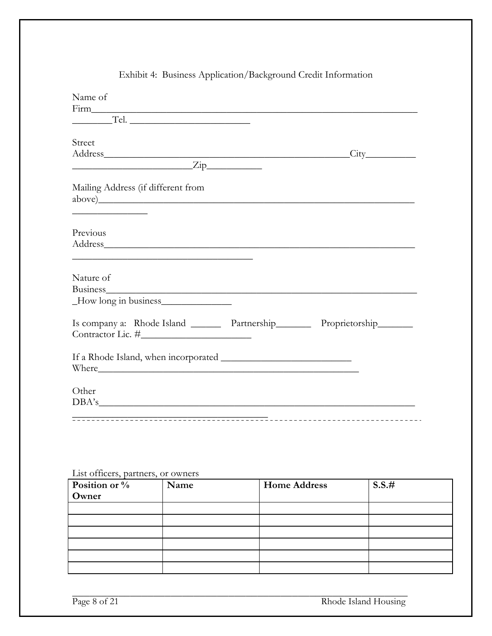| Name of                                                                                                                                                                                                                                                                                                                                                                                                                                                                         |                 |
|---------------------------------------------------------------------------------------------------------------------------------------------------------------------------------------------------------------------------------------------------------------------------------------------------------------------------------------------------------------------------------------------------------------------------------------------------------------------------------|-----------------|
| Firm experience of the state of the state of the state of the state of the state of the state of the state of the state of the state of the state of the state of the state of the state of the state of the state of the stat                                                                                                                                                                                                                                                  |                 |
| Tel.                                                                                                                                                                                                                                                                                                                                                                                                                                                                            |                 |
| Street                                                                                                                                                                                                                                                                                                                                                                                                                                                                          |                 |
| Address and the contract of the contract of the contract of the contract of the contract of the contract of the contract of the contract of the contract of the contract of the contract of the contract of the contract of th                                                                                                                                                                                                                                                  | $\textrm{City}$ |
| $\overline{\phantom{a}}$ $\overline{\phantom{a}}$ $\overline{\phantom{a}}$ $\overline{\phantom{a}}$ $\overline{\phantom{a}}$ $\overline{\phantom{a}}$ $\overline{\phantom{a}}$ $\overline{\phantom{a}}$ $\overline{\phantom{a}}$ $\overline{\phantom{a}}$ $\overline{\phantom{a}}$ $\overline{\phantom{a}}$ $\overline{\phantom{a}}$ $\overline{\phantom{a}}$ $\overline{\phantom{a}}$ $\overline{\phantom{a}}$ $\overline{\phantom{a}}$ $\overline{\phantom{a}}$ $\overline{\$ |                 |
| Mailing Address (if different from<br><u> 1980 - Johann Stoff, martin santa shekara ta 1980 - André Santa Santa Santa Santa Santa Santa Santa Santa San</u>                                                                                                                                                                                                                                                                                                                     |                 |
| Previous                                                                                                                                                                                                                                                                                                                                                                                                                                                                        |                 |
| Address and the contract of the contract of the contract of the contract of the contract of the contract of the contract of the contract of the contract of the contract of the contract of the contract of the contract of th                                                                                                                                                                                                                                                  |                 |
| Nature of                                                                                                                                                                                                                                                                                                                                                                                                                                                                       |                 |
| Business have been always a state of the state of the state of the state of the state of the state of the state of the state of the state of the state of the state of the state of the state of the state of the state of the                                                                                                                                                                                                                                                  |                 |
| _How long in business______________                                                                                                                                                                                                                                                                                                                                                                                                                                             |                 |
| Is company a: Rhode Island _______ Partnership_______ Proprietorship_______                                                                                                                                                                                                                                                                                                                                                                                                     |                 |
| Where <u>the contract of the contract of the contract of the contract of the contract of the contract of the contract of the contract of the contract of the contract of the contract of the contract of the contract of the con</u>                                                                                                                                                                                                                                            |                 |
| Other                                                                                                                                                                                                                                                                                                                                                                                                                                                                           |                 |
| DBA's                                                                                                                                                                                                                                                                                                                                                                                                                                                                           |                 |
|                                                                                                                                                                                                                                                                                                                                                                                                                                                                                 |                 |
|                                                                                                                                                                                                                                                                                                                                                                                                                                                                                 |                 |

# Exhibit 4: Business Application/Background Credit Information

List officers, partners, or owners

| Position or % | Name | <b>Home Address</b> | S.S.# |
|---------------|------|---------------------|-------|
| Owner         |      |                     |       |
|               |      |                     |       |
|               |      |                     |       |
|               |      |                     |       |
|               |      |                     |       |
|               |      |                     |       |
|               |      |                     |       |

Page 8 of 21 Rhode Island Housing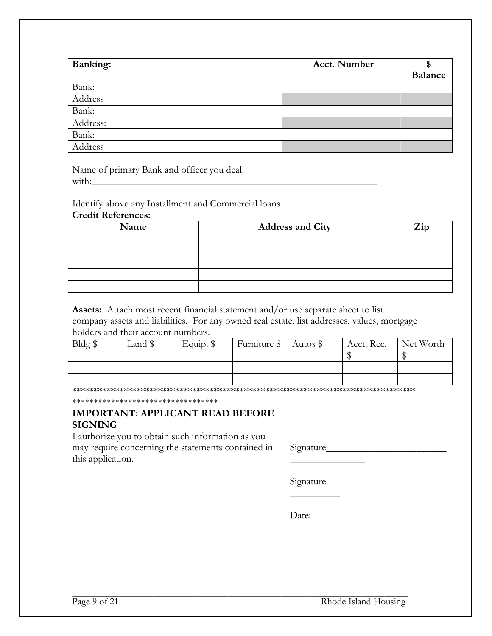| <b>Banking:</b> | <b>Acct. Number</b> | <b>Balance</b> |
|-----------------|---------------------|----------------|
| Bank:           |                     |                |
| Address         |                     |                |
| Bank:           |                     |                |
| Address:        |                     |                |
| Bank:           |                     |                |
| Address         |                     |                |

Name of primary Bank and officer you deal with:  $\Box$ 

Identify above any Installment and Commercial loans

#### **Credit References:**

| Name | <b>Address and City</b> | Zip |
|------|-------------------------|-----|
|      |                         |     |
|      |                         |     |
|      |                         |     |
|      |                         |     |
|      |                         |     |

**Assets:** Attach most recent financial statement and/or use separate sheet to list company assets and liabilities. For any owned real estate, list addresses, values, mortgage holders and their account numbers.

| Bldg \$ | Land \$ | Equip. $\$ | Furniture \$   Autos \$ | Acct. Rec. | Net Worth |
|---------|---------|------------|-------------------------|------------|-----------|
|         |         |            |                         |            |           |
|         |         |            |                         |            |           |

\*\*\*\*\*\*\*\*\*\*\*\*\*\*\*\*\*\*\*\*\*\*\*\*\*\*\*\*\*\*\*\*\*\*\*\*\*\*\*\*\*\*\*\*\*\*\*\*\*\*\*\*\*\*\*\*\*\*\*\*\*\*\*\*\*\*\*\*\*\*\*\*\*\*\*\*\*\*\*\*

\*\*\*\*\*\*\*\*\*\*\*\*\*\*\*\*\*\*\*\*\*\*\*\*\*\*\*\*\*\*\*\*\*\*

## **IMPORTANT: APPLICANT READ BEFORE SIGNING**

I authorize you to obtain such information as you may require concerning the statements contained in this application.

Signature\_\_\_\_\_\_\_\_\_\_\_\_\_\_\_\_\_\_\_\_\_\_\_\_

Signature\_\_\_\_\_\_\_\_\_\_\_\_\_\_\_\_\_\_\_\_\_\_\_\_

 $\frac{1}{2}$ 

 $\frac{1}{2}$ 

Date:\_\_\_\_\_\_\_\_\_\_\_\_\_\_\_\_\_\_\_\_\_\_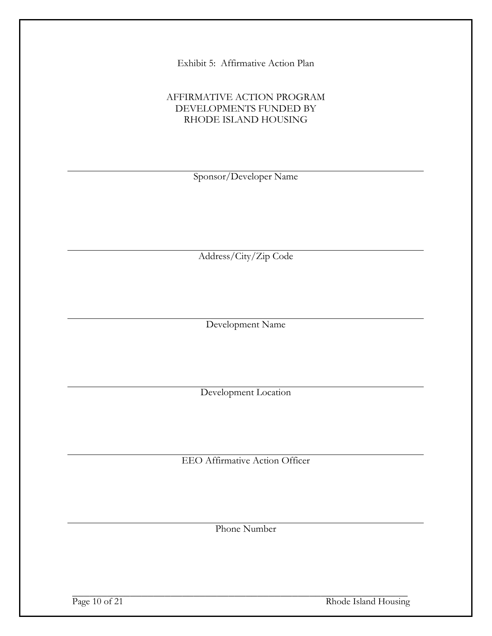Exhibit 5: Affirmative Action Plan

## AFFIRMATIVE ACTION PROGRAM DEVELOPMENTS FUNDED BY RHODE ISLAND HOUSING

Sponsor/Developer Name

Address/City/Zip Code

Development Name

Development Location

EEO Affirmative Action Officer

Phone Number

Page 10 of 21 Rhode Island Housing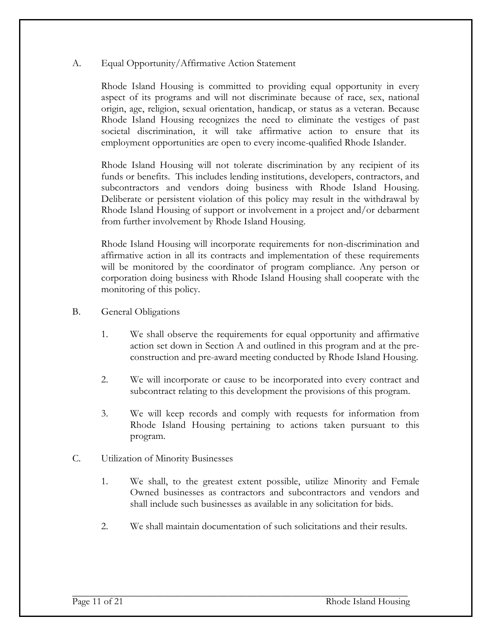#### A. Equal Opportunity/Affirmative Action Statement

Rhode Island Housing is committed to providing equal opportunity in every aspect of its programs and will not discriminate because of race, sex, national origin, age, religion, sexual orientation, handicap, or status as a veteran. Because Rhode Island Housing recognizes the need to eliminate the vestiges of past societal discrimination, it will take affirmative action to ensure that its employment opportunities are open to every income-qualified Rhode Islander.

Rhode Island Housing will not tolerate discrimination by any recipient of its funds or benefits. This includes lending institutions, developers, contractors, and subcontractors and vendors doing business with Rhode Island Housing. Deliberate or persistent violation of this policy may result in the withdrawal by Rhode Island Housing of support or involvement in a project and/or debarment from further involvement by Rhode Island Housing.

Rhode Island Housing will incorporate requirements for non-discrimination and affirmative action in all its contracts and implementation of these requirements will be monitored by the coordinator of program compliance. Any person or corporation doing business with Rhode Island Housing shall cooperate with the monitoring of this policy.

- B. General Obligations
	- 1. We shall observe the requirements for equal opportunity and affirmative action set down in Section A and outlined in this program and at the preconstruction and pre-award meeting conducted by Rhode Island Housing.
	- 2. We will incorporate or cause to be incorporated into every contract and subcontract relating to this development the provisions of this program.
	- 3. We will keep records and comply with requests for information from Rhode Island Housing pertaining to actions taken pursuant to this program.
- C. Utilization of Minority Businesses
	- 1. We shall, to the greatest extent possible, utilize Minority and Female Owned businesses as contractors and subcontractors and vendors and shall include such businesses as available in any solicitation for bids.
	- 2. We shall maintain documentation of such solicitations and their results.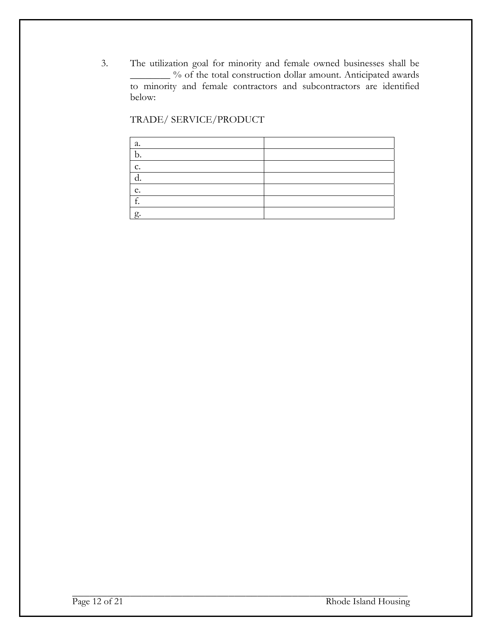3. The utilization goal for minority and female owned businesses shall be \_\_\_\_\_\_\_\_ % of the total construction dollar amount. Anticipated awards to minority and female contractors and subcontractors are identified below:

TRADE/ SERVICE/PRODUCT

| а.     |  |
|--------|--|
| b.     |  |
| c.     |  |
| ٠      |  |
| e.     |  |
| $\sim$ |  |
| g.     |  |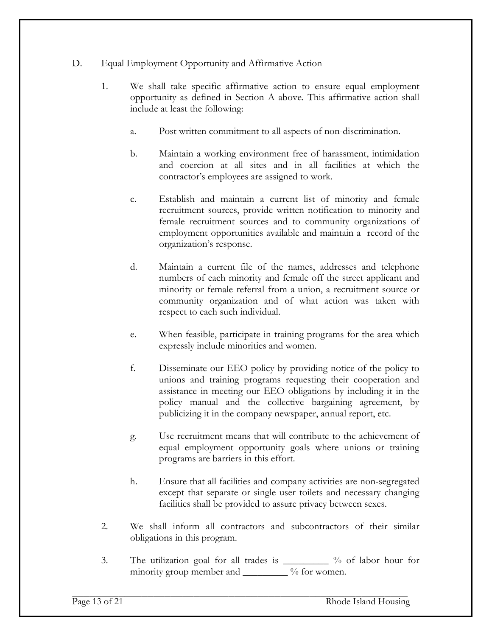## D. Equal Employment Opportunity and Affirmative Action

- 1. We shall take specific affirmative action to ensure equal employment opportunity as defined in Section A above. This affirmative action shall include at least the following:
	- a. Post written commitment to all aspects of non-discrimination.
	- b. Maintain a working environment free of harassment, intimidation and coercion at all sites and in all facilities at which the contractor's employees are assigned to work.
	- c. Establish and maintain a current list of minority and female recruitment sources, provide written notification to minority and female recruitment sources and to community organizations of employment opportunities available and maintain a record of the organization's response.
	- d. Maintain a current file of the names, addresses and telephone numbers of each minority and female off the street applicant and minority or female referral from a union, a recruitment source or community organization and of what action was taken with respect to each such individual.
	- e. When feasible, participate in training programs for the area which expressly include minorities and women.
	- f. Disseminate our EEO policy by providing notice of the policy to unions and training programs requesting their cooperation and assistance in meeting our EEO obligations by including it in the policy manual and the collective bargaining agreement, by publicizing it in the company newspaper, annual report, etc.
	- g. Use recruitment means that will contribute to the achievement of equal employment opportunity goals where unions or training programs are barriers in this effort.
	- h. Ensure that all facilities and company activities are non-segregated except that separate or single user toilets and necessary changing facilities shall be provided to assure privacy between sexes.
- 2. We shall inform all contractors and subcontractors of their similar obligations in this program.
- 3. The utilization goal for all trades is \_\_\_\_\_\_\_\_\_ % of labor hour for minority group member and \_\_\_\_\_\_\_\_\_ % for women.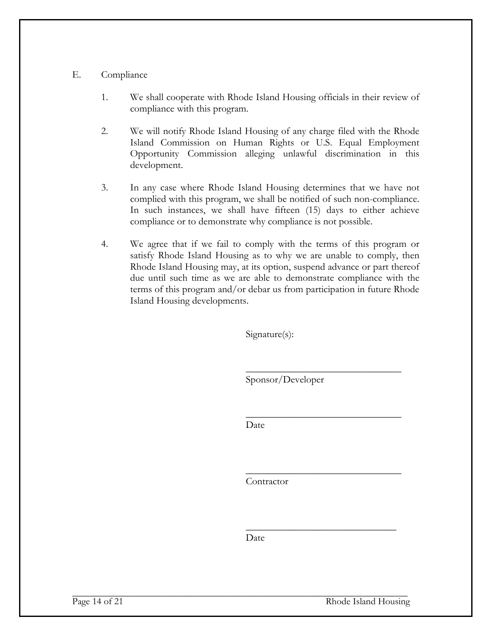#### E. Compliance

- 1. We shall cooperate with Rhode Island Housing officials in their review of compliance with this program.
- 2. We will notify Rhode Island Housing of any charge filed with the Rhode Island Commission on Human Rights or U.S. Equal Employment Opportunity Commission alleging unlawful discrimination in this development.
- 3. In any case where Rhode Island Housing determines that we have not complied with this program, we shall be notified of such non-compliance. In such instances, we shall have fifteen (15) days to either achieve compliance or to demonstrate why compliance is not possible.
- 4. We agree that if we fail to comply with the terms of this program or satisfy Rhode Island Housing as to why we are unable to comply, then Rhode Island Housing may, at its option, suspend advance or part thereof due until such time as we are able to demonstrate compliance with the terms of this program and/or debar us from participation in future Rhode Island Housing developments.

Signature(s):

 $\overline{\phantom{a}}$  , and the contract of the contract of the contract of the contract of the contract of the contract of the contract of the contract of the contract of the contract of the contract of the contract of the contrac Sponsor/Developer

 $\mathcal{L}_\text{max}$  and  $\mathcal{L}_\text{max}$  and  $\mathcal{L}_\text{max}$  and  $\mathcal{L}_\text{max}$  and  $\mathcal{L}_\text{max}$ **Date** Date

 $\overline{\phantom{a}}$  , and the contract of the contract of the contract of the contract of the contract of the contract of the contract of the contract of the contract of the contract of the contract of the contract of the contrac

Contractor

Date

 $\frac{1}{\sqrt{2}}$  ,  $\frac{1}{\sqrt{2}}$  ,  $\frac{1}{\sqrt{2}}$  ,  $\frac{1}{\sqrt{2}}$  ,  $\frac{1}{\sqrt{2}}$  ,  $\frac{1}{\sqrt{2}}$  ,  $\frac{1}{\sqrt{2}}$  ,  $\frac{1}{\sqrt{2}}$  ,  $\frac{1}{\sqrt{2}}$  ,  $\frac{1}{\sqrt{2}}$  ,  $\frac{1}{\sqrt{2}}$  ,  $\frac{1}{\sqrt{2}}$  ,  $\frac{1}{\sqrt{2}}$  ,  $\frac{1}{\sqrt{2}}$  ,  $\frac{1}{\sqrt{2}}$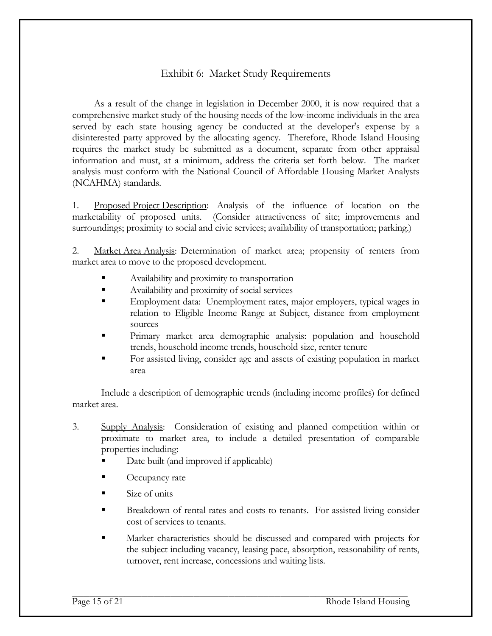# Exhibit 6: Market Study Requirements

As a result of the change in legislation in December 2000, it is now required that a comprehensive market study of the housing needs of the low-income individuals in the area served by each state housing agency be conducted at the developer's expense by a disinterested party approved by the allocating agency. Therefore, Rhode Island Housing requires the market study be submitted as a document, separate from other appraisal information and must, at a minimum, address the criteria set forth below. The market analysis must conform with the National Council of Affordable Housing Market Analysts (NCAHMA) standards.

1. Proposed Project Description: Analysis of the influence of location on the marketability of proposed units. (Consider attractiveness of site; improvements and surroundings; proximity to social and civic services; availability of transportation; parking.)

2. Market Area Analysis: Determination of market area; propensity of renters from market area to move to the proposed development.

- Availability and proximity to transportation
- Availability and proximity of social services
- Employment data: Unemployment rates, major employers, typical wages in relation to Eligible Income Range at Subject, distance from employment sources
- Primary market area demographic analysis: population and household trends, household income trends, household size, renter tenure
- For assisted living, consider age and assets of existing population in market area

Include a description of demographic trends (including income profiles) for defined market area.

- 3. Supply Analysis: Consideration of existing and planned competition within or proximate to market area, to include a detailed presentation of comparable properties including:
	- Date built (and improved if applicable)
	- Occupancy rate
	- Size of units
	- Breakdown of rental rates and costs to tenants. For assisted living consider cost of services to tenants.
	- Market characteristics should be discussed and compared with projects for the subject including vacancy, leasing pace, absorption, reasonability of rents, turnover, rent increase, concessions and waiting lists.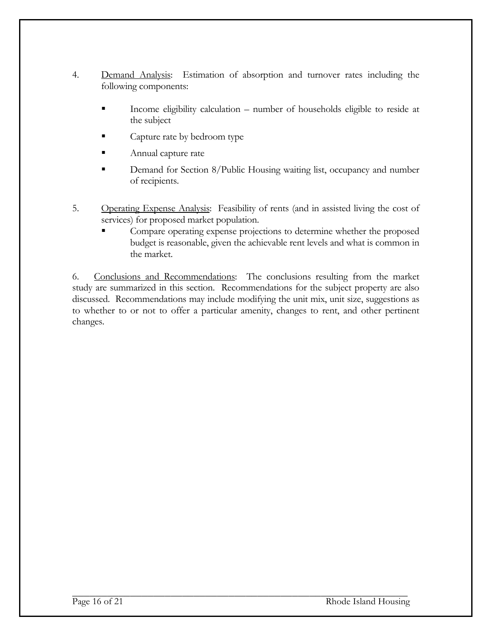- 4. Demand Analysis: Estimation of absorption and turnover rates including the following components:
	- Income eligibility calculation number of households eligible to reside at the subject
	- Capture rate by bedroom type
	- Annual capture rate
	- Demand for Section 8/Public Housing waiting list, occupancy and number of recipients.
- 5. Operating Expense Analysis: Feasibility of rents (and in assisted living the cost of services) for proposed market population.
	- Compare operating expense projections to determine whether the proposed budget is reasonable, given the achievable rent levels and what is common in the market.

6. Conclusions and Recommendations: The conclusions resulting from the market study are summarized in this section. Recommendations for the subject property are also discussed. Recommendations may include modifying the unit mix, unit size, suggestions as to whether to or not to offer a particular amenity, changes to rent, and other pertinent changes.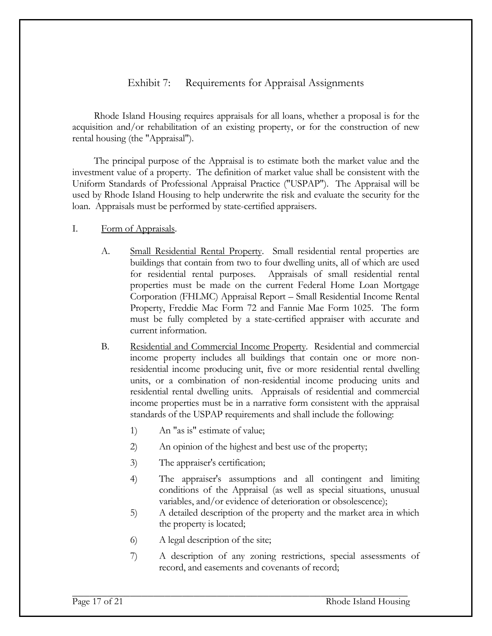# Exhibit 7: Requirements for Appraisal Assignments

Rhode Island Housing requires appraisals for all loans, whether a proposal is for the acquisition and/or rehabilitation of an existing property, or for the construction of new rental housing (the "Appraisal").

The principal purpose of the Appraisal is to estimate both the market value and the investment value of a property. The definition of market value shall be consistent with the Uniform Standards of Professional Appraisal Practice ("USPAP"). The Appraisal will be used by Rhode Island Housing to help underwrite the risk and evaluate the security for the loan. Appraisals must be performed by state-certified appraisers.

#### I. Form of Appraisals.

- A. Small Residential Rental Property. Small residential rental properties are buildings that contain from two to four dwelling units, all of which are used for residential rental purposes. Appraisals of small residential rental properties must be made on the current Federal Home Loan Mortgage Corporation (FHLMC) Appraisal Report – Small Residential Income Rental Property, Freddie Mac Form 72 and Fannie Mae Form 1025. The form must be fully completed by a state-certified appraiser with accurate and current information.
- B. Residential and Commercial Income Property. Residential and commercial income property includes all buildings that contain one or more nonresidential income producing unit, five or more residential rental dwelling units, or a combination of non-residential income producing units and residential rental dwelling units. Appraisals of residential and commercial income properties must be in a narrative form consistent with the appraisal standards of the USPAP requirements and shall include the following:
	- 1) An "as is" estimate of value;
	- 2) An opinion of the highest and best use of the property;
	- 3) The appraiser's certification;
	- 4) The appraiser's assumptions and all contingent and limiting conditions of the Appraisal (as well as special situations, unusual variables, and/or evidence of deterioration or obsolescence);
	- 5) A detailed description of the property and the market area in which the property is located;
	- 6) A legal description of the site;
	- 7) A description of any zoning restrictions, special assessments of record, and easements and covenants of record;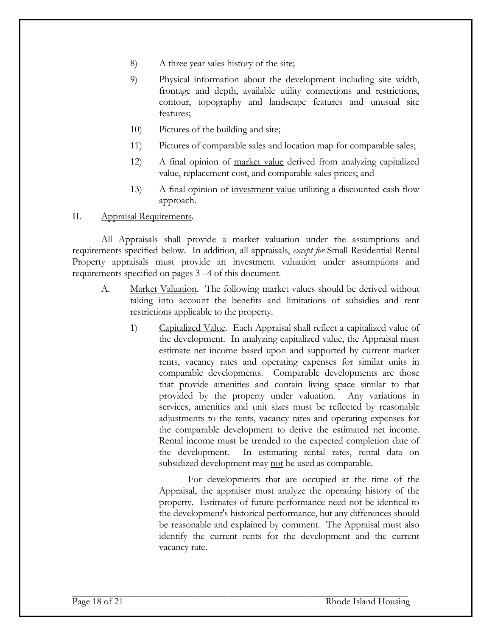- 8) A three year sales history of the site;
- 9) Physical information about the development including site width, frontage and depth, available utility connections and restrictions, contour, topography and landscape features and unusual site features;
- 10) Pictures of the building and site;
- 11) Pictures of comparable sales and location map for comparable sales;
- 12) A final opinion of market value derived from analyzing capitalized value, replacement cost, and comparable sales prices; and
- 13) A final opinion of investment value utilizing a discounted cash flow approach.

II. Appraisal Requirements.

All Appraisals shall provide a market valuation under the assumptions and requirements specified below. In addition, all appraisals, *except for* Small Residential Rental Property appraisals must provide an investment valuation under assumptions and requirements specified on pages 3 –4 of this document.

- A. Market Valuation. The following market values should be derived without taking into account the benefits and limitations of subsidies and rent restrictions applicable to the property.
	- 1) Capitalized Value. Each Appraisal shall reflect a capitalized value of the development. In analyzing capitalized value, the Appraisal must estimate net income based upon and supported by current market rents, vacancy rates and operating expenses for similar units in comparable developments. Comparable developments are those that provide amenities and contain living space similar to that provided by the property under valuation. Any variations in services, amenities and unit sizes must be reflected by reasonable adjustments to the rents, vacancy rates and operating expenses for the comparable development to derive the estimated net income. Rental income must be trended to the expected completion date of the development. In estimating rental rates, rental data on subsidized development may not be used as comparable.

For developments that are occupied at the time of the Appraisal, the appraiser must analyze the operating history of the property. Estimates of future performance need not be identical to the development's historical performance, but any differences should be reasonable and explained by comment. The Appraisal must also identify the current rents for the development and the current vacancy rate.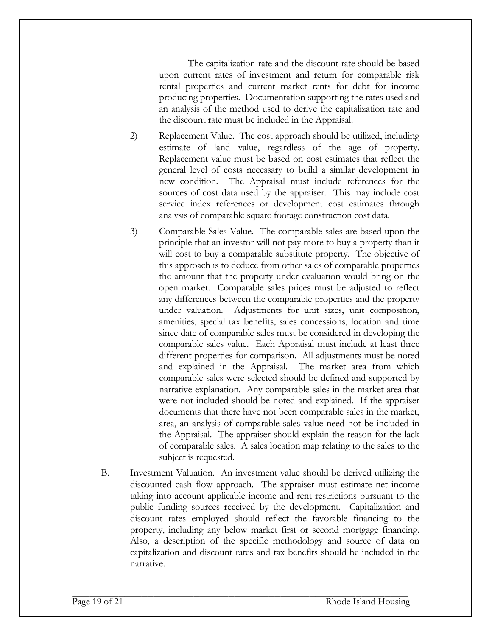The capitalization rate and the discount rate should be based upon current rates of investment and return for comparable risk rental properties and current market rents for debt for income producing properties. Documentation supporting the rates used and an analysis of the method used to derive the capitalization rate and the discount rate must be included in the Appraisal.

- 2) Replacement Value. The cost approach should be utilized, including estimate of land value, regardless of the age of property. Replacement value must be based on cost estimates that reflect the general level of costs necessary to build a similar development in new condition. The Appraisal must include references for the sources of cost data used by the appraiser. This may include cost service index references or development cost estimates through analysis of comparable square footage construction cost data.
- 3) Comparable Sales Value. The comparable sales are based upon the principle that an investor will not pay more to buy a property than it will cost to buy a comparable substitute property. The objective of this approach is to deduce from other sales of comparable properties the amount that the property under evaluation would bring on the open market. Comparable sales prices must be adjusted to reflect any differences between the comparable properties and the property under valuation.Adjustments for unit sizes, unit composition, amenities, special tax benefits, sales concessions, location and time since date of comparable sales must be considered in developing the comparable sales value. Each Appraisal must include at least three different properties for comparison. All adjustments must be noted and explained in the Appraisal. The market area from which comparable sales were selected should be defined and supported by narrative explanation. Any comparable sales in the market area that were not included should be noted and explained. If the appraiser documents that there have not been comparable sales in the market, area, an analysis of comparable sales value need not be included in the Appraisal. The appraiser should explain the reason for the lack of comparable sales. A sales location map relating to the sales to the subject is requested.
- B. Investment Valuation. An investment value should be derived utilizing the discounted cash flow approach. The appraiser must estimate net income taking into account applicable income and rent restrictions pursuant to the public funding sources received by the development. Capitalization and discount rates employed should reflect the favorable financing to the property, including any below market first or second mortgage financing. Also, a description of the specific methodology and source of data on capitalization and discount rates and tax benefits should be included in the narrative.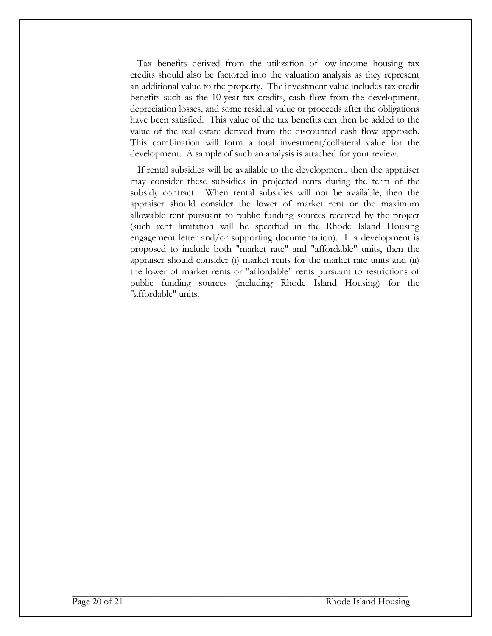Tax benefits derived from the utilization of low-income housing tax credits should also be factored into the valuation analysis as they represent an additional value to the property. The investment value includes tax credit benefits such as the 10-year tax credits, cash flow from the development, depreciation losses, and some residual value or proceeds after the obligations have been satisfied. This value of the tax benefits can then be added to the value of the real estate derived from the discounted cash flow approach. This combination will form a total investment/collateral value for the development. A sample of such an analysis is attached for your review.

 If rental subsidies will be available to the development, then the appraiser may consider these subsidies in projected rents during the term of the subsidy contract. When rental subsidies will not be available, then the appraiser should consider the lower of market rent or the maximum allowable rent pursuant to public funding sources received by the project (such rent limitation will be specified in the Rhode Island Housing engagement letter and/or supporting documentation). If a development is proposed to include both "market rate" and "affordable" units, then the appraiser should consider (i) market rents for the market rate units and (ii) the lower of market rents or "affordable" rents pursuant to restrictions of public funding sources (including Rhode Island Housing) for the "affordable" units.